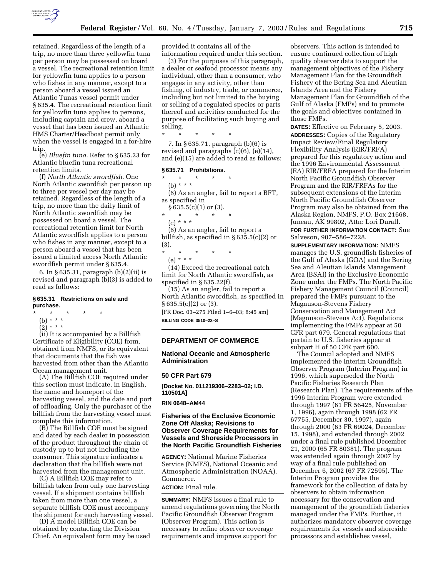

retained. Regardless of the length of a trip, no more than three yellowfin tuna per person may be possessed on board a vessel. The recreational retention limit for yellowfin tuna applies to a person who fishes in any manner, except to a person aboard a vessel issued an Atlantic Tunas vessel permit under § 635.4. The recreational retention limit for yellowfin tuna applies to persons, including captain and crew, aboard a vessel that has been issued an Atlantic HMS Charter/Headboat permit only when the vessel is engaged in a for-hire trip.

(e) *Bluefin tuna.* Refer to § 635.23 for Atlantic bluefin tuna recreational retention limits.

(f) *North Atlantic swordfish.* One North Atlantic swordfish per person up to three per vessel per day may be retained. Regardless of the length of a trip, no more than the daily limit of North Atlantic swordfish may be possessed on board a vessel. The recreational retention limit for North Atlantic swordfish applies to a person who fishes in any manner, except to a person aboard a vessel that has been issued a limited access North Atlantic swordfish permit under § 635.4.

6. In § 635.31, paragraph (b)(2)(ii) is revised and paragraph (b)(3) is added to read as follows:

### **§ 635.31 Restrictions on sale and purchase.**

- \* \* \* \* \*
	- (b) \* \* \*  $(2) * * * *$

(ii) It is accompanied by a Billfish Certificate of Eligibility (COE) form, obtained from NMFS, or its equivalent that documents that the fish was harvested from other than the Atlantic Ocean management unit.

(A) The Billfish COE required under this section must indicate, in English, the name and homeport of the harvesting vessel, and the date and port of offloading. Only the purchaser of the billfish from the harvesting vessel must complete this information.

(B) The Billfish COE must be signed and dated by each dealer in possession of the product throughout the chain of custody up to but not including the consumer. This signature indicates a declaration that the billfish were not harvested from the management unit.

(C) A Billfish COE may refer to billfish taken from only one harvesting vessel. If a shipment contains billfish taken from more than one vessel, a separate billfish COE must accompany the shipment for each harvesting vessel.

(D) A model Billfish COE can be obtained by contacting the Division Chief. An equivalent form may be used provided it contains all of the information required under this section.

(3) For the purposes of this paragraph, a dealer or seafood processor means any individual, other than a consumer, who engages in any activity, other than fishing, of industry, trade, or commerce, including but not limited to the buying or selling of a regulated species or parts thereof and activities conducted for the purpose of facilitating such buying and selling.

\* \* \* \* \* 7. In § 635.71, paragraph (b)(6) is revised and paragraphs (c)(6), (e)(14),

## **§ 635.71 Prohibitions.**

 $*$  \* (b) \* \* \*

(6) As an angler, fail to report a BFT, as specified in

and (e)(15) are added to read as follows:

 $§ 635.5(c)(1)$  or (3).

- \* \* \* \* \*
- $(c) * * * *$

(6) As an angler, fail to report a billfish, as specified in § 635.5(c)(2) or (3).

\* \* \* \* \* (e) \* \* \*

(14) Exceed the recreational catch limit for North Atlantic swordfish, as specified in § 635.22(f).

(15) As an angler, fail to report a North Atlantic swordfish, as specified in § 635.5(c)(2) or (3). [FR Doc. 03–275 Filed 1–6–03; 8:45 am]

**BILLING CODE 3510–22–S**

### **DEPARTMENT OF COMMERCE**

**National Oceanic and Atmospheric Administration**

#### **50 CFR Part 679**

**[Docket No. 011219306–2283–02; I.D. 110501A]**

#### **RIN 0648–AM44**

# **Fisheries of the Exclusive Economic Zone Off Alaska; Revisions to Observer Coverage Requirements for Vessels and Shoreside Processors in the North Pacific Groundfish Fisheries**

**AGENCY:** National Marine Fisheries Service (NMFS), National Oceanic and Atmospheric Administration (NOAA), Commerce.

# **ACTION:** Final rule.

**SUMMARY:** NMFS issues a final rule to amend regulations governing the North Pacific Groundfish Observer Program (Observer Program). This action is necessary to refine observer coverage requirements and improve support for

observers. This action is intended to ensure continued collection of high quality observer data to support the management objectives of the Fishery Management Plan for the Groundfish Fishery of the Bering Sea and Aleutian Islands Area and the Fishery Management Plan for Groundfish of the Gulf of Alaska (FMPs) and to promote the goals and objectives contained in those FMPs.

**DATES:** Effective on February 5, 2003. **ADDRESSES:** Copies of the Regulatory Impact Review/Final Regulatory Flexibility Analysis (RIR/FRFA) prepared for this regulatory action and the 1996 Environmental Assessment (EA) RIR/FRFA prepared for the Interim North Pacific Groundfish Observer Program and the RIR/FRFAs for the subsequent extensions of the Interim North Pacific Groundfish Observer Program may also be obtained from the Alaska Region, NMFS, P.O. Box 21668, Juneau, AK 99802, Attn: Lori Durall.

**FOR FURTHER INFORMATION CONTACT:** Sue Salveson, 907–586–7228.

**SUPPLEMENTARY INFORMATION:** NMFS manages the U.S. groundfish fisheries of the Gulf of Alaska (GOA) and the Bering Sea and Aleutian Islands Management Area (BSAI) in the Exclusive Economic Zone under the FMPs. The North Pacific Fishery Management Council (Council) prepared the FMPs pursuant to the Magnuson-Stevens Fishery Conservation and Management Act (Magnuson-Stevens Act). Regulations implementing the FMPs appear at 50 CFR part 679. General regulations that pertain to U.S. fisheries appear at subpart H of 50 CFR part 600.

The Council adopted and NMFS implemented the Interim Groundfish Observer Program (Interim Program) in 1996, which superseded the North Pacific Fisheries Research Plan (Research Plan). The requirements of the 1996 Interim Program were extended through 1997 (61 FR 56425, November 1, 1996), again through 1998 (62 FR 67755, December 30, 1997), again through 2000 (63 FR 69024, December 15, 1998), and extended through 2002 under a final rule published December 21, 2000 (65 FR 80381). The program was extended again through 2007 by way of a final rule published on December 6, 2002 (67 FR 72595). The Interim Program provides the framework for the collection of data by observers to obtain information necessary for the conservation and management of the groundfish fisheries managed under the FMPs. Further, it authorizes mandatory observer coverage requirements for vessels and shoreside processors and establishes vessel,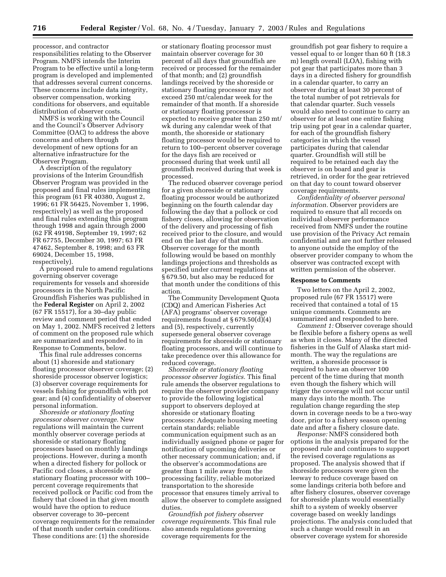processor, and contractor responsibilities relating to the Observer Program. NMFS intends the Interim Program to be effective until a long-term program is developed and implemented that addresses several current concerns. These concerns include data integrity, observer compensation, working conditions for observers, and equitable distribution of observer costs.

NMFS is working with the Council and the Council's Observer Advisory Committee (OAC) to address the above concerns and others through development of new options for an alternative infrastructure for the Observer Program.

A description of the regulatory provisions of the Interim Groundfish Observer Program was provided in the proposed and final rules implementing this program (61 FR 40380, August 2, 1996; 61 FR 56425, November 1, 1996, respectively) as well as the proposed and final rules extending this program through 1998 and again through 2000 (62 FR 49198, September 19, 1997; 62 FR 67755, December 30, 1997; 63 FR 47462, September 8, 1998; and 63 FR 69024, December 15, 1998, respectively).

A proposed rule to amend regulations governing observer coverage requirements for vessels and shoreside processors in the North Pacific Groundfish Fisheries was published in the **Federal Register** on April 2, 2002 (67 FR 15517), for a 30–day public review and comment period that ended on May 1, 2002. NMFS received 2 letters of comment on the proposed rule which are summarized and responded to in Response to Comments, below.

This final rule addresses concerns about (1) shoreside and stationary floating processor observer coverage; (2) shoreside processor observer logistics; (3) observer coverage requirements for vessels fishing for groundfish with pot gear; and (4) confidentiality of observer personal information.

*Shoreside or stationary floating processor observer coverage.* New regulations will maintain the current monthly observer coverage periods at shoreside or stationary floating processors based on monthly landings projections. However, during a month when a directed fishery for pollock or Pacific cod closes, a shoreside or stationary floating processor with 100– percent coverage requirements that received pollock or Pacific cod from the fishery that closed in that given month would have the option to reduce observer coverage to 30–percent coverage requirements for the remainder of that month under certain conditions. These conditions are: (1) the shoreside

or stationary floating processor must maintain observer coverage for 30 percent of all days that groundfish are received or processed for the remainder of that month; and (2) groundfish landings received by the shoreside or stationary floating processor may not exceed 250 mt/calendar week for the remainder of that month. If a shoreside or stationary floating processor is expected to receive greater than 250 mt/ wk during any calendar week of that month, the shoreside or stationary floating processor would be required to return to 100–percent observer coverage for the days fish are received or processed during that week until all groundfish received during that week is processed.

The reduced observer coverage period for a given shoreside or stationary floating processor would be authorized beginning on the fourth calendar day following the day that a pollock or cod fishery closes, allowing for observation of the delivery and processing of fish received prior to the closure, and would end on the last day of that month. Observer coverage for the month following would be based on monthly landings projections and thresholds as specified under current regulations at § 679.50, but also may be reduced for that month under the conditions of this action.

The Community Development Quota (CDQ) and American Fisheries Act (AFA) programs' observer coverage requirements found at  $\S 679.50(d)(4)$ and (5), respectively, currently supersede general observer coverage requirements for shoreside or stationary floating processors, and will continue to take precedence over this allowance for reduced coverage.

*Shoreside or stationary floating processor observer logistics.* This final rule amends the observer regulations to require the observer provider company to provide the following logistical support to observers deployed at shoreside or stationary floating processors: Adequate housing meeting certain standards; reliable communication equipment such as an individually assigned phone or pager for notification of upcoming deliveries or other necessary communication; and, if the observer's accommodations are greater than 1 mile away from the processing facility, reliable motorized transportation to the shoreside processor that ensures timely arrival to allow the observer to complete assigned duties.

*Groundfish pot fishery observer coverage requirements.* This final rule also amends regulations governing coverage requirements for the

groundfish pot gear fishery to require a vessel equal to or longer than 60 ft (18.3 m) length overall (LOA), fishing with pot gear that participates more than 3 days in a directed fishery for groundfish in a calendar quarter, to carry an observer during at least 30 percent of the total number of pot retrievals for that calendar quarter. Such vessels would also need to continue to carry an observer for at least one entire fishing trip using pot gear in a calendar quarter, for each of the groundfish fishery categories in which the vessel participates during that calendar quarter. Groundfish will still be required to be retained each day the observer is on board and gear is retrieved, in order for the gear retrieved on that day to count toward observer coverage requirements.

*Confidentiality of observer personal information.* Observer providers are required to ensure that all records on individual observer performance received from NMFS under the routine use provision of the Privacy Act remain confidential and are not further released to anyone outside the employ of the observer provider company to whom the observer was contracted except with written permission of the observer.

### **Response to Comments**

Two letters on the April 2, 2002, proposed rule (67 FR 15517) were received that contained a total of 15 unique comments. Comments are summarized and responded to here.

*Comment 1:* Observer coverage should be flexible before a fishery opens as well as when it closes. Many of the directed fisheries in the Gulf of Alaska start midmonth. The way the regulations are written, a shoreside processor is required to have an observer 100 percent of the time during that month even though the fishery which will trigger the coverage will not occur until many days into the month. The regulation change regarding the step down in coverage needs to be a two-way door, prior to a fishery season opening date and after a fishery closure date.

*Response:* NMFS considered both options in the analysis prepared for the proposed rule and continues to support the revised coverage regulations as proposed. The analysis showed that if shoreside processors were given the leeway to reduce coverage based on some landings criteria both before and after fishery closures, observer coverage for shoreside plants would essentially shift to a system of weekly observer coverage based on weekly landings projections. The analysis concluded that such a change would result in an observer coverage system for shoreside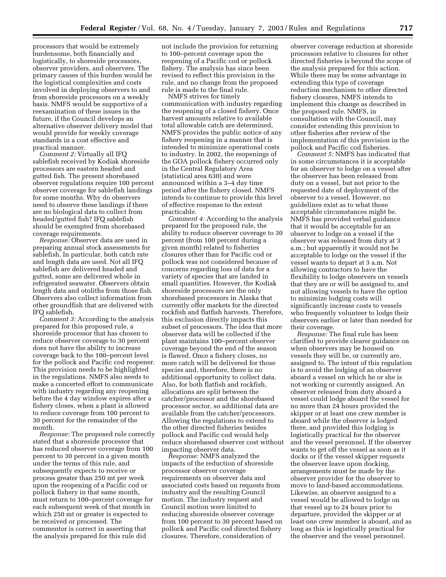processors that would be extremely burdensome, both financially and logistically, to shoreside processors, observer providers, and observers. The primary causes of this burden would be the logistical complexities and costs involved in deploying observers to and from shoreside processors on a weekly basis. NMFS would be supportive of a reexamination of these issues in the future, if the Council develops an alternative observer delivery model that would provide for weekly coverage standards in a cost effective and practical manner.

*Comment 2:* Virtually all IFQ sablefish received by Kodiak shoreside processors are eastern headed and gutted fish. The present shorebased observer regulations require 100 percent observer coverage for sablefish landings for some months. Why do observers need to observe these landings if there are no biological data to collect from headed/gutted fish? IFQ sablefish should be exempted from shorebased coverage requirements.

*Response:* Observer data are used in preparing annual stock assessments for sablefish. In particular, both catch rate and length data are used. Not all IFQ sablefish are delivered headed and gutted, some are delivered whole in refrigerated seawater. Observers obtain length data and otoliths from those fish. Observers also collect information from other groundfish that are delivered with IFQ sablefish.

*Comment 3:* According to the analysis prepared for this proposed rule, a shoreside processor that has chosen to reduce observer coverage to 30 percent does not have the ability to increase coverage back to the 100–percent level for the pollock and Pacific cod reopener. This provision needs to be highlighted in the regulations. NMFS also needs to make a concerted effort to communicate with industry regarding any reopening before the 4 day window expires after a fishery closes, when a plant is allowed to reduce coverage from 100 percent to 30 percent for the remainder of the month.

*Response:* The proposed rule correctly stated that a shoreside processor that has reduced observer coverage from 100 percent to 30 percent in a given month under the terms of this rule, and subsequently expects to receive or process greater than 250 mt per week upon the reopening of a Pacific cod or pollock fishery in that same month, must return to 100–percent coverage for each subsequent week of that month in which 250 mt or greater is expected to be received or processed. The commentor is correct in asserting that the analysis prepared for this rule did

not include the provision for returning to 100–percent coverage upon the reopening of a Pacific cod or pollock fishery. The analysis has since been revised to reflect this provision in the rule, and no change from the proposed rule is made to the final rule.

NMFS strives for timely communication with industry regarding the reopening of a closed fishery. Once harvest amounts relative to available total allowable catch are determined, NMFS provides the public notice of any fishery reopening in a manner that is intended to minimize operational costs to industry. In 2002, the reopenings of the GOA pollock fishery occurred only in the Central Regulatory Area (statistical area 630) and were announced within a 3–4 day time period after the fishery closed. NMFS intends to continue to provide this level of effective response to the extent practicable.

*Comment 4:* According to the analysis prepared for the proposed rule, the ability to reduce observer coverage to 30 percent (from 100 percent during a given month) related to fisheries closures other than for Pacific cod or pollock was not considered because of concerns regarding loss of data for a variety of species that are landed in small quantities. However, the Kodiak shoreside processors are the only shorebased processors in Alaska that currently offer markets for the directed rockfish and flatfish harvests. Therefore, this exclusion directly impacts this subset of processors. The idea that more observer data will be collected if the plant maintains 100–percent observer coverage beyond the end of the season is flawed. Once a fishery closes, no more catch will be delivered for those species and, therefore, there is no additional opportunity to collect data. Also, for both flatfish and rockfish, allocations are split between the catcher/processor and the shorebased processor sector, so additional data are available from the catcher/processors. Allowing the regulations to extend to the other directed fisheries besides pollock and Pacific cod would help reduce shorebased observer cost without impacting observer data.

*Response:* NMFS analyzed the impacts of the reduction of shoreside processor observer coverage requirements on observer data and associated costs based on requests from industry and the resulting Council motion. The industry request and Council motion were limited to reducing shoreside observer coverage from 100 percent to 30 percent based on pollock and Pacific cod directed fishery closures. Therefore, consideration of

observer coverage reduction at shoreside processors relative to closures for other directed fisheries is beyond the scope of the analysis prepared for this action. While there may be some advantage in extending this type of coverage reduction mechanism to other directed fishery closures, NMFS intends to implement this change as described in the proposed rule. NMFS, in consultation with the Council, may consider extending this provision to other fisheries after review of the implementation of this provision in the pollock and Pacific cod fisheries.

*Comment 5:* NMFS has indicated that in some circumstances it is acceptable for an observer to lodge on a vessel after the observer has been released from duty on a vessel, but not prior to the requested date of deployment of the observer to a vessel. However, no guidelines exist as to what those acceptable circumstances might be. NMFS has provided verbal guidance that it would be acceptable for an observer to lodge on a vessel if the observer was released from duty at 3 a.m.; but apparently it would not be acceptable to lodge on the vessel if the vessel wants to depart at 3 a.m. Not allowing contractors to have the flexibility to lodge observers on vessels that they are or will be assigned to, and not allowing vessels to have the option to minimize lodging costs will significantly increase costs to vessels who frequently volunteer to lodge their observers earlier or later than needed for their coverage.

*Response:* The final rule has been clarified to provide clearer guidance on when observers may be housed on vessels they will be, or currently are, assigned to. The intent of this regulation is to avoid the lodging of an observer aboard a vessel on which he or she is not working or currently assigned. An observer released from duty aboard a vessel could lodge aboard the vessel for no more than 24 hours provided the skipper or at least one crew member is aboard while the observer is lodged there, and provided this lodging is logistically practical for the observer and the vessel personnel. If the observer wants to get off the vessel as soon as it docks or if the vessel skipper requests the observer leave upon docking, arrangements must be made by the observer provider for the observer to move to land-based accommodations. Likewise, an observer assigned to a vessel would be allowed to lodge on that vessel up to 24 hours prior to departure, provided the skipper or at least one crew member is aboard, and as long as this is logistically practical for the observer and the vessel personnel.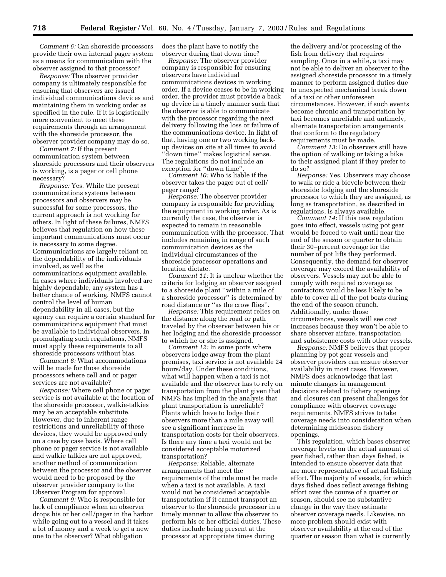*Comment 6:* Can shoreside processors provide their own internal pager system as a means for communication with the observer assigned to that processor?

*Response:* The observer provider company is ultimately responsible for ensuring that observers are issued individual communications devices and maintaining them in working order as specified in the rule. If it is logistically more convenient to meet these requirements through an arrangement with the shoreside processor, the observer provider company may do so.

*Comment 7:* If the present communication system between shoreside processors and their observers is working, is a pager or cell phone necessary?

*Response:* Yes. While the present communications systems between processors and observers may be successful for some processors, the current approach is not working for others. In light of these failures, NMFS believes that regulation on how these important communications must occur is necessary to some degree. Communications are largely reliant on the dependability of the individuals involved, as well as the communications equipment available. In cases where individuals involved are highly dependable, any system has a better chance of working. NMFS cannot control the level of human dependability in all cases, but the agency can require a certain standard for communications equipment that must be available to individual observers. In promulgating such regulations, NMFS must apply these requirements to all shoreside processors without bias.

*Comment 8:* What accommodations will be made for those shoreside processors where cell and or pager services are not available?

*Response:* Where cell phone or pager service is not available at the location of the shoreside processor, walkie-talkies may be an acceptable substitute. However, due to inherent range restrictions and unreliability of these devices, they would be approved only on a case by case basis. Where cell phone or pager service is not available and walkie talkies are not approved, another method of communication between the processor and the observer would need to be proposed by the observer provider company to the Observer Program for approval.

*Comment 9:* Who is responsible for lack of compliance when an observer drops his or her cell/pager in the harbor while going out to a vessel and it takes a lot of money and a week to get a new one to the observer? What obligation

does the plant have to notify the observer during that down time?

*Response:* The observer provider company is responsible for ensuring observers have individual communications devices in working order. If a device ceases to be in working order, the provider must provide a back up device in a timely manner such that the observer is able to communicate with the processor regarding the next delivery following the loss or failure of the communications device. In light of that, having one or two working backup devices on site at all times to avoid ''down time'' makes logistical sense. The regulations do not include an exception for ''down time''.

*Comment 10:* Who is liable if the observer takes the pager out of cell/ pager range?

*Response:* The observer provider company is responsible for providing the equipment in working order. As is currently the case, the observer is expected to remain in reasonable communication with the processor. That includes remaining in range of such communication devices as the individual circumstances of the shoreside processor operations and location dictate.

*Comment 11:* It is unclear whether the criteria for lodging an observer assigned to a shoreside plant ''within a mile of a shoreside processor'' is determined by road distance or ''as the crow flies''.

*Response:* This requirement relies on the distance along the road or path traveled by the observer between his or her lodging and the shoreside processor to which he or she is assigned.

*Comment 12:* In some ports where observers lodge away from the plant premises, taxi service is not available 24 hours/day. Under these conditions, what will happen when a taxi is not available and the observer has to rely on transportation from the plant given that NMFS has implied in the analysis that plant transportation is unreliable? Plants which have to lodge their observers more than a mile away will see a significant increase in transportation costs for their observers. Is there any time a taxi would not be considered acceptable motorized transportation?

*Response:* Reliable, alternate arrangements that meet the requirements of the rule must be made when a taxi is not available. A taxi would not be considered acceptable transportation if it cannot transport an observer to the shoreside processor in a timely manner to allow the observer to perform his or her official duties. These duties include being present at the processor at appropriate times during

the delivery and/or processing of the fish from delivery that requires sampling. Once in a while, a taxi may not be able to deliver an observer to the assigned shoreside processor in a timely manner to perform assigned duties due to unexpected mechanical break down of a taxi or other unforeseen circumstances. However, if such events become chronic and transportation by taxi becomes unreliable and untimely, alternate transportation arrangements that conform to the regulatory requirements must be made.

*Comment 13:* Do observers still have the option of walking or taking a bike to their assigned plant if they prefer to do so?

*Response:* Yes. Observers may choose to walk or ride a bicycle between their shoreside lodging and the shoreside processor to which they are assigned, as long as transportation, as described in regulations, is always available.

*Comment 14:* If this new regulation goes into effect, vessels using pot gear would be forced to wait until near the end of the season or quarter to obtain their 30–percent coverage for the number of pot lifts they performed. Consequently, the demand for observer coverage may exceed the availability of observers. Vessels may not be able to comply with required coverage as contractors would be less likely to be able to cover all of the pot boats during the end of the season crunch. Additionally, under those circumstances, vessels will see cost increases because they won't be able to share observer airfare, transportation and subsistence costs with other vessels.

*Response:* NMFS believes that proper planning by pot gear vessels and observer providers can ensure observer availability in most cases. However, NMFS does acknowledge that last minute changes in management decisions related to fishery openings and closures can present challenges for compliance with observer coverage requirements. NMFS strives to take coverage needs into consideration when determining midseason fishery openings.

This regulation, which bases observer coverage levels on the actual amount of gear fished, rather than days fished, is intended to ensure observer data that are more representative of actual fishing effort. The majority of vessels, for which days fished does reflect average fishing effort over the course of a quarter or season, should see no substantive change in the way they estimate observer coverage needs. Likewise, no more problem should exist with observer availability at the end of the quarter or season than what is currently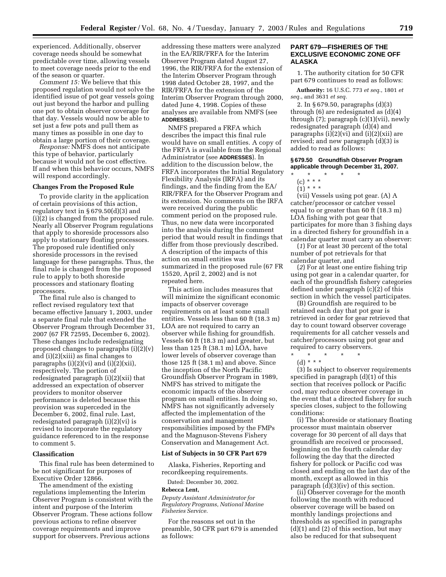experienced. Additionally, observer coverage needs should be somewhat predictable over time, allowing vessels to meet coverage needs prior to the end of the season or quarter.

*Comment 15:* We believe that this proposed regulation would not solve the identified issue of pot gear vessels going out just beyond the harbor and pulling one pot to obtain observer coverage for that day. Vessels would now be able to set just a few pots and pull them as many times as possible in one day to obtain a large portion of their coverage.

*Response:* NMFS does not anticipate this type of behavior, particularly because it would not be cost effective. If and when this behavior occurs, NMFS will respond accordingly.

# **Changes From the Proposed Rule**

To provide clarity in the application of certain provisions of this action, regulatory text in  $\S 679.50(d)(3)$  and (i)(2) is changed from the proposed rule. Nearly all Observer Program regulations that apply to shoreside processors also apply to stationary floating processors. The proposed rule identified only shoreside processors in the revised language for these paragraphs. Thus, the final rule is changed from the proposed rule to apply to both shoreside processors and stationary floating processors.

The final rule also is changed to reflect revised regulatory text that became effective January 1, 2003, under a separate final rule that extended the Observer Program through December 31, 2007 (67 FR 72595, December 6, 2002). These changes include redesignating proposed changes to paragraphs (i)(2)(v) and (i)(2)(xiii) as final changes to paragraphs  $(i)(2)(vi)$  and  $(i)(2)(xii)$ , respectively. The portion of redesignated paragraph (i)(2)(xii) that addressed an expectation of observer providers to monitor observer performance is deleted because this provision was superceded in the December 6, 2002, final rule. Last, redesignated paragraph (i)(2)(vi) is revised to incorporate the regulatory guidance referenced to in the response to comment 5.

### **Classification**

This final rule has been determined to be not significant for purposes of Executive Order 12866.

The amendment of the existing regulations implementing the Interim Observer Program is consistent with the intent and purpose of the Interim Observer Program. These actions follow previous actions to refine observer coverage requirements and improve support for observers. Previous actions

addressing these matters were analyzed in the EA/RIR/FRFA for the Interim Observer Program dated August 27, 1996, the RIR/FRFA for the extension of the Interim Observer Program through 1998 dated October 28, 1997, and the RIR/FRFA for the extension of the Interim Observer Program through 2000, dated June 4, 1998. Copies of these analyses are available from NMFS (see **ADDRESSES**).

NMFS prepared a FRFA which describes the impact this final rule would have on small entities. A copy of the FRFA is available from the Regional Administrator (see **ADDRESSES**). In addition to the discussion below, the FRFA incorporates the Initial Regulatory Flexibility Analysis (IRFA) and its findings, and the finding from the EA/ RIR/FRFA for the Observer Program and its extension. No comments on the IRFA were received during the public comment period on the proposed rule. Thus, no new data were incorporated into the analysis during the comment period that would result in findings that differ from those previously described. A description of the impacts of this action on small entities was summarized in the proposed rule (67 FR 15520, April 2, 2002) and is not repeated here.

This action includes measures that will minimize the significant economic impacts of observer coverage requirements on at least some small entities. Vessels less than 60 ft (18.3 m) LOA are not required to carry an observer while fishing for groundfish. Vessels 60 ft (18.3 m) and greater, but less than 125 ft (38.1 m) LOA, have lower levels of observer coverage than those 125 ft (38.1 m) and above. Since the inception of the North Pacific Groundfish Observer Program in 1989, NMFS has strived to mitigate the economic impacts of the observer program on small entities. In doing so, NMFS has not significantly adversely affected the implementation of the conservation and management responsibilities imposed by the FMPs and the Magnuson-Stevens Fishery Conservation and Management Act.

#### **List of Subjects in 50 CFR Part 679**

Alaska, Fisheries, Reporting and recordkeeping requirements.

Dated: December 30, 2002.

# **Rebecca Lent,**

*Deputy Assistant Administrator for Regulatory Programs, National Marine Fisheries Service.*

For the reasons set out in the preamble, 50 CFR part 679 is amended as follows:

## **PART 679—FISHERIES OF THE EXCLUSIVE ECONOMIC ZONE OFF ALASKA**

1. The authority citation for 50 CFR part 679 continues to read as follows:

**Authority:** 16 U.S.C. 773 *et seq.*, 1801 *et seq.*, and 3631 *et seq.*

2. In § 679.50, paragraphs (d)(3) through (6) are redesignated as (d)(4) through  $(7)$ ; paragraph  $(c)(1)(vii)$ , newly redesignated paragraph (d)(4) and paragraphs (i)(2)(vi) and (i)(2)(xii) are revised; and new paragraph (d)(3) is added to read as follows:

**§ 679.50 Groundfish Observer Program applicable through December 31, 2007.**

- \* \* \* \* \*
	- (c) \* \* \*
	- $(1) * * * *$

(vii) Vessels using pot gear. (A) A catcher/processor or catcher vessel equal to or greater than 60 ft (18.3 m) LOA fishing with pot gear that participates for more than 3 fishing days in a directed fishery for groundfish in a calendar quarter must carry an observer:

(*1*) For at least 30 percent of the total number of pot retrievals for that calendar quarter, and

(*2*) For at least one entire fishing trip using pot gear in a calendar quarter, for each of the groundfish fishery categories defined under paragraph (c)(2) of this section in which the vessel participates.

(B) Groundfish are required to be retained each day that pot gear is retrieved in order for gear retrieved that day to count toward observer coverage requirements for all catcher vessels and catcher/processors using pot gear and required to carry observers.

 $\star$   $\star$   $\star$ (d) \* \* \*

(3) Is subject to observer requirements specified in paragraph (d)(1) of this section that receives pollock or Pacific cod, may reduce observer coverage in the event that a directed fishery for such species closes, subject to the following conditions:

(i) The shoreside or stationary floating processor must maintain observer coverage for 30 percent of all days that groundfish are received or processed, beginning on the fourth calendar day following the day that the directed fishery for pollock or Pacific cod was closed and ending on the last day of the month, except as allowed in this paragraph (d)(3)(iv) of this section.

(ii) Observer coverage for the month following the month with reduced observer coverage will be based on monthly landings projections and thresholds as specified in paragraphs  $(d)(1)$  and  $(2)$  of this section, but may also be reduced for that subsequent